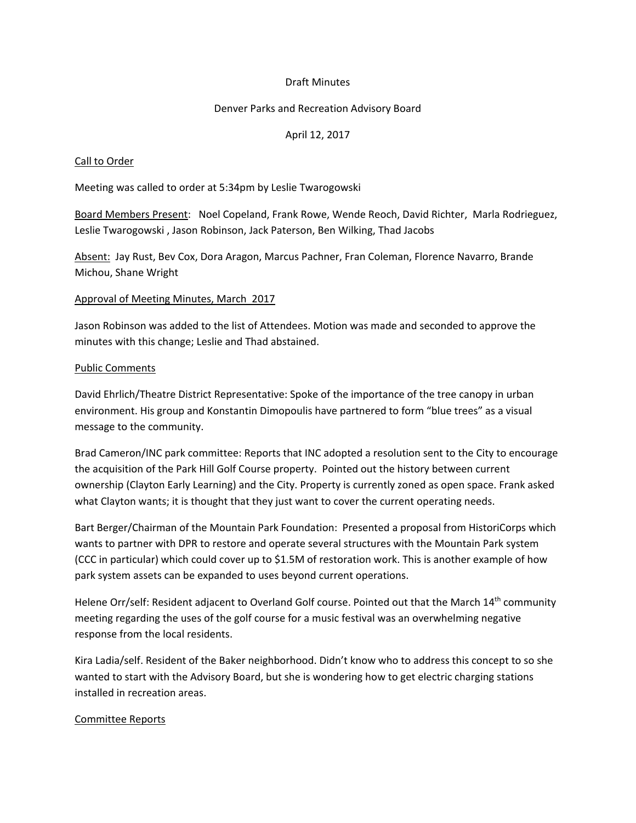# Draft Minutes

## Denver Parks and Recreation Advisory Board

# April 12, 2017

## Call to Order

Meeting was called to order at 5:34pm by Leslie Twarogowski

Board Members Present: Noel Copeland, Frank Rowe, Wende Reoch, David Richter, Marla Rodrieguez, Leslie Twarogowski , Jason Robinson, Jack Paterson, Ben Wilking, Thad Jacobs

Absent: Jay Rust, Bev Cox, Dora Aragon, Marcus Pachner, Fran Coleman, Florence Navarro, Brande Michou, Shane Wright

#### Approval of Meeting Minutes, March 2017

Jason Robinson was added to the list of Attendees. Motion was made and seconded to approve the minutes with this change; Leslie and Thad abstained.

## Public Comments

David Ehrlich/Theatre District Representative: Spoke of the importance of the tree canopy in urban environment. His group and Konstantin Dimopoulis have partnered to form "blue trees" as a visual message to the community.

Brad Cameron/INC park committee: Reports that INC adopted a resolution sent to the City to encourage the acquisition of the Park Hill Golf Course property. Pointed out the history between current ownership (Clayton Early Learning) and the City. Property is currently zoned as open space. Frank asked what Clayton wants; it is thought that they just want to cover the current operating needs.

Bart Berger/Chairman of the Mountain Park Foundation: Presented a proposal from HistoriCorps which wants to partner with DPR to restore and operate several structures with the Mountain Park system (CCC in particular) which could cover up to \$1.5M of restoration work. This is another example of how park system assets can be expanded to uses beyond current operations.

Helene Orr/self: Resident adjacent to Overland Golf course. Pointed out that the March 14<sup>th</sup> community meeting regarding the uses of the golf course for a music festival was an overwhelming negative response from the local residents.

Kira Ladia/self. Resident of the Baker neighborhood. Didn't know who to address this concept to so she wanted to start with the Advisory Board, but she is wondering how to get electric charging stations installed in recreation areas.

#### Committee Reports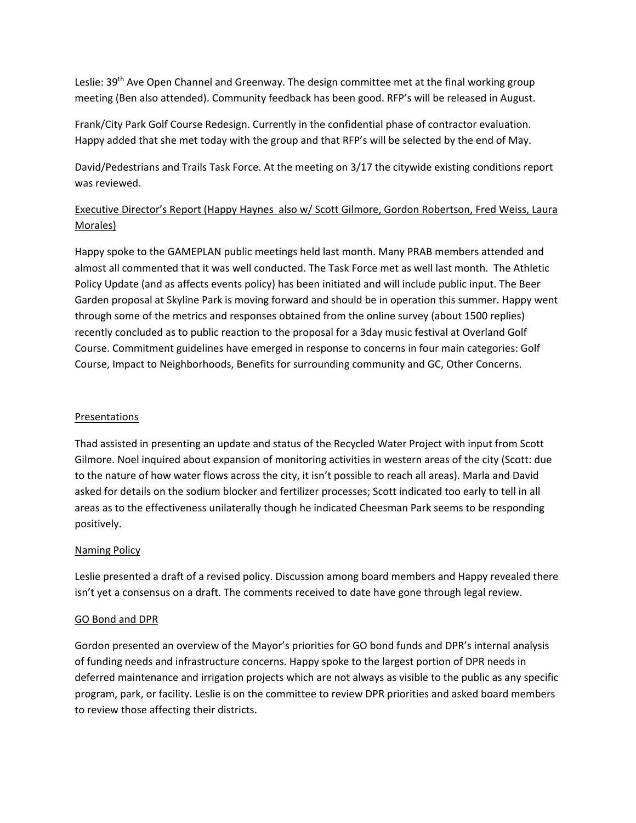Leslie: 39<sup>th</sup> Ave Open Channel and Greenway. The design committee met at the final working group meeting (Ben also attended). Community feedback has been good. RFP's will be released in August.

Frank/City Park Golf Course Redesign. Currently in the confidential phase of contractor evaluation. Happy added that she met today with the group and that RFP's will be selected by the end of May.

David/Pedestrians and Trails Task Force. At the meeting on 3/17 the citywide existing conditions report was reviewed.

# Executive Director's Report (Happy Haynes also w/ Scott Gilmore, Gordon Robertson, Fred Weiss, Laura Morales)

Happy spoke to the GAMEPLAN public meetings held last month. Many PRAB members attended and almost all commented that it was well conducted. The Task Force met as well last month. The Athletic Policy Update (and as affects events policy) has been initiated and will include public input. The Beer Garden proposal at Skyline Park is moving forward and should be in operation this summer. Happy went through some of the metrics and responses obtained from the online survey (about 1500 replies) recently concluded as to public reaction to the proposal for a 3day music festival at Overland Golf Course. Commitment guidelines have emerged in response to concerns in four main categories: Golf Course, Impact to Neighborhoods, Benefits for surrounding community and GC, Other Concerns.

# **Presentations**

Thad assisted in presenting an update and status of the Recycled Water Project with input from Scott Gilmore. Noel inquired about expansion of monitoring activities in western areas of the city (Scott: due to the nature of how water flows across the city, it isn't possible to reach all areas). Marla and David asked for details on the sodium blocker and fertilizer processes; Scott indicated too early to tell in all areas as to the effectiveness unilaterally though he indicated Cheesman Park seems to be responding positively.

# Naming Policy

Leslie presented a draft of a revised policy. Discussion among board members and Happy revealed there isn't yet a consensus on a draft. The comments received to date have gone through legal review.

# GO Bond and DPR

Gordon presented an overview of the Mayor's priorities for GO bond funds and DPR's internal analysis of funding needs and infrastructure concerns. Happy spoke to the largest portion of DPR needs in deferred maintenance and irrigation projects which are not always as visible to the public as any specific program, park, or facility. Leslie is on the committee to review DPR priorities and asked board members to review those affecting their districts.